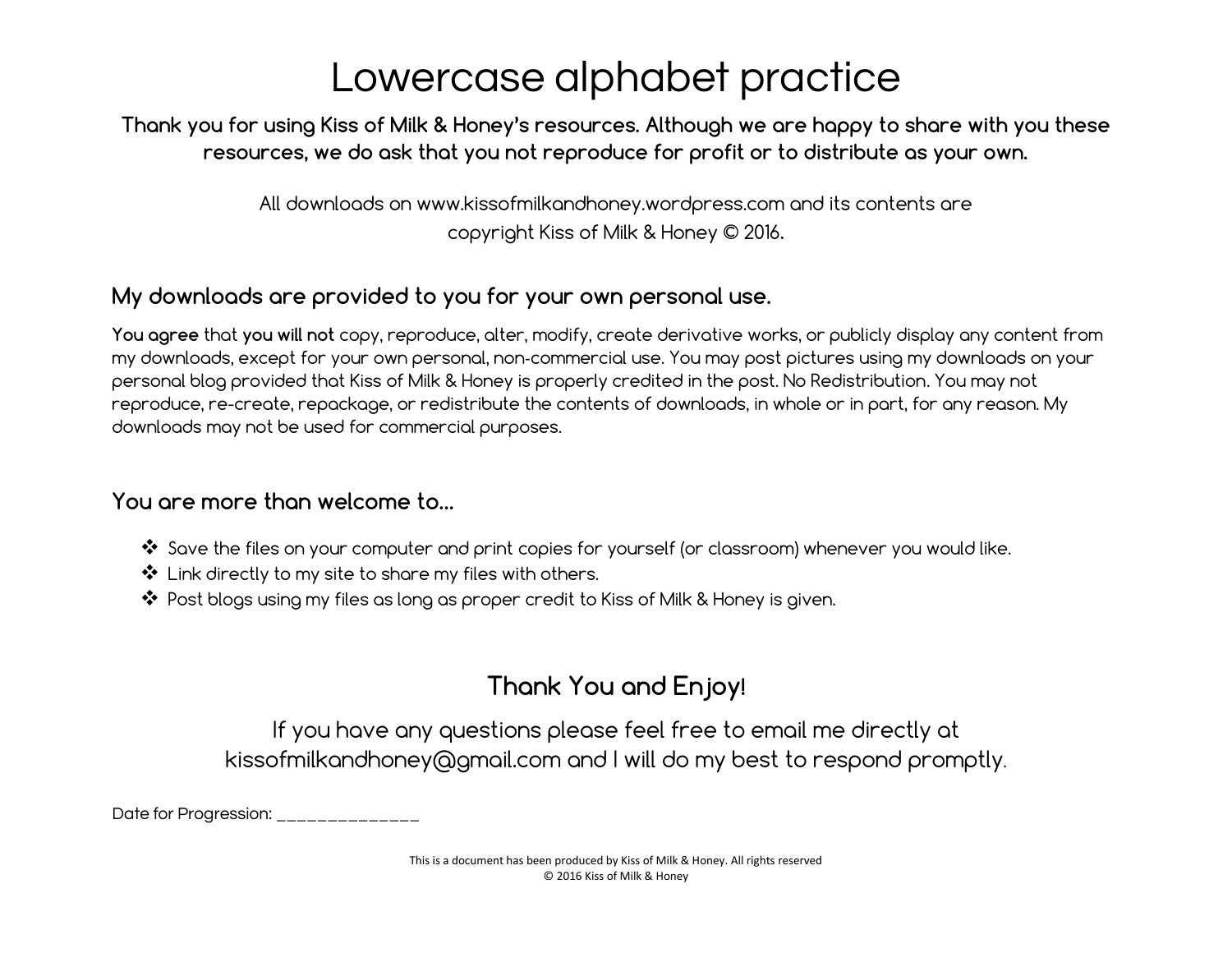#### Thank you for using Kiss of Milk & Honey's resources. Although we are happy to share with you these resources, we do ask that you not reproduce for profit or to distribute as your own.

All downloads on www.kissofmilkandhoney.wordpress.com and its contents are copyright Kiss of Milk & Honey © 2016.

#### My downloads are provided to you for your own personal use.

You agree that you will not copy, reproduce, alter, modify, create derivative works, or publicly display any content from my downloads, except for your own personal, non‐commercial use. You may post pictures using my downloads on your personal blog provided that Kiss of Milk & Honey is properly credited in the post. No Redistribution. You may not reproduce, re-create, repackage, or redistribute the contents of downloads, in whole or in part, for any reason. My downloads may not be used for commercial purposes.

#### You are more than welcome to…

- ❖ Save the files on your computer and print copies for yourself (or classroom) whenever you would like.
- ❖ Link directly to my site to share my files with others.
- ❖ Post blogs using my files as long as proper credit to Kiss of Milk & Honey is given.

#### Thank You and Enjoy!

If you have any questions please feel free to email me directly at kissofmilkandhoney@gmail.com and I will do my best to respond promptly.

Date for Progression: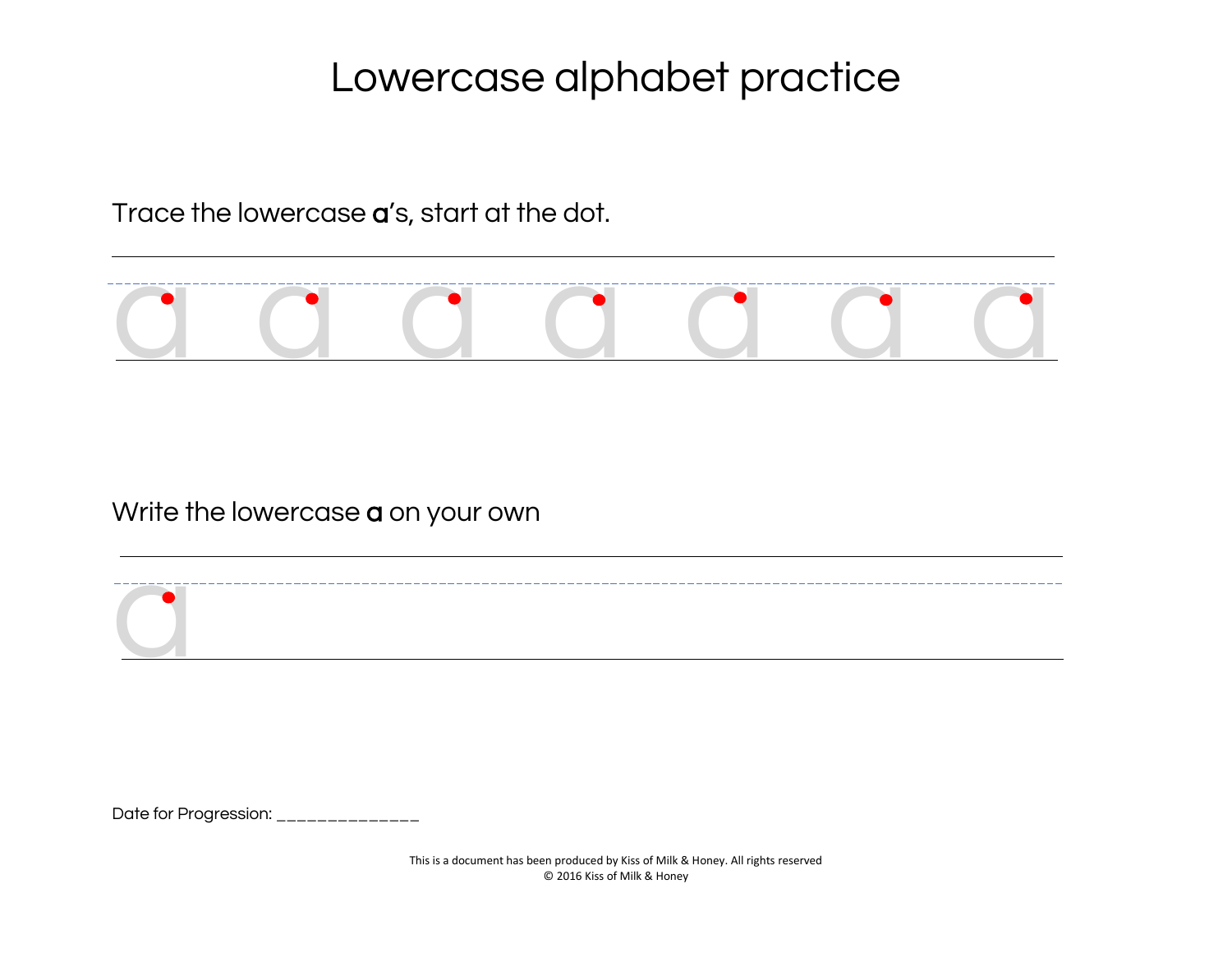Trace the lowercase a's, start at the dot.



#### Write the lowercase **a** on your own



Date for Progression: \_\_\_\_\_\_\_\_\_\_\_\_\_\_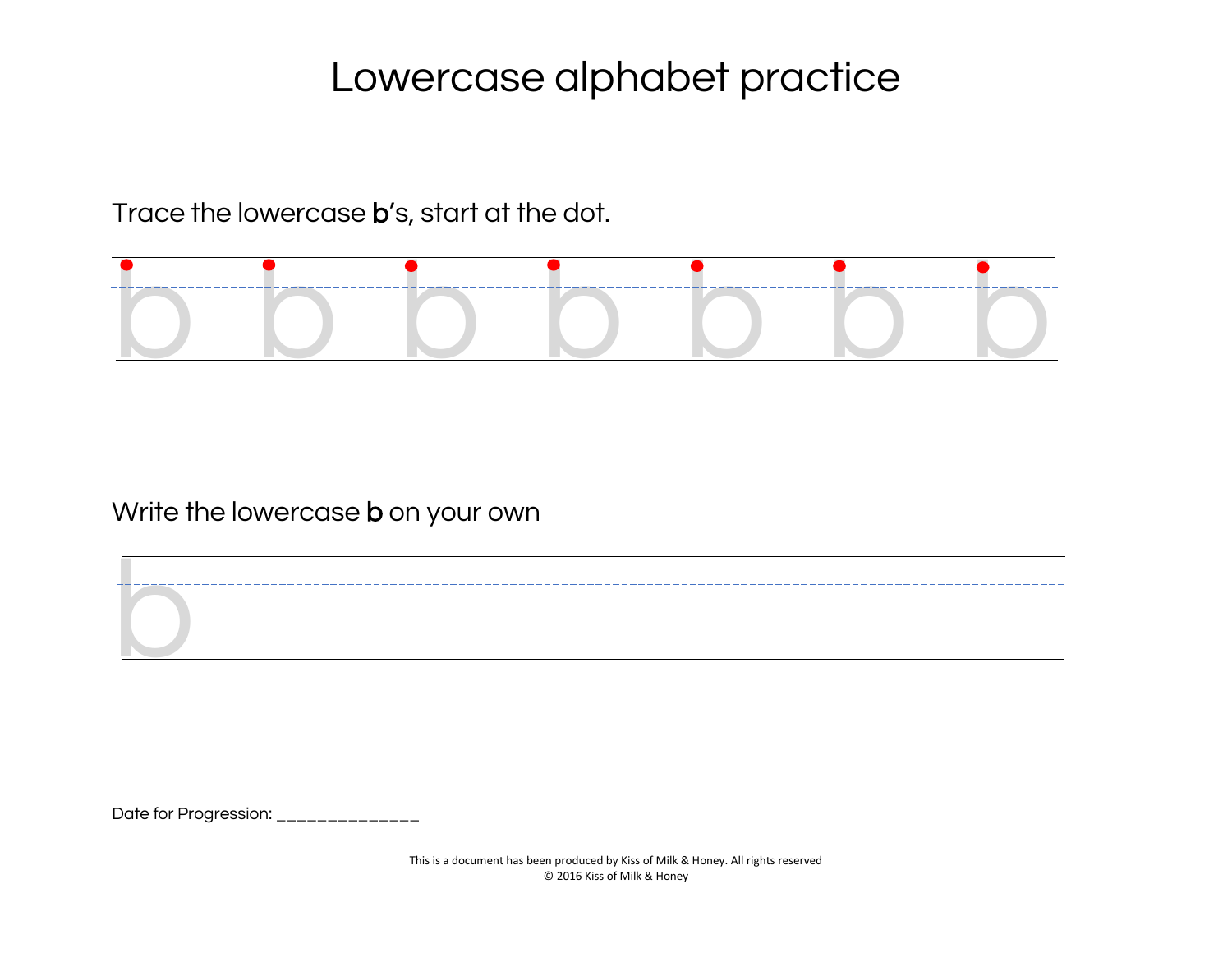Trace the lowercase b's, start at the dot.



Write the lowercase **b** on your own

Date for Progression: \_\_\_\_\_\_\_\_\_\_\_\_\_\_

b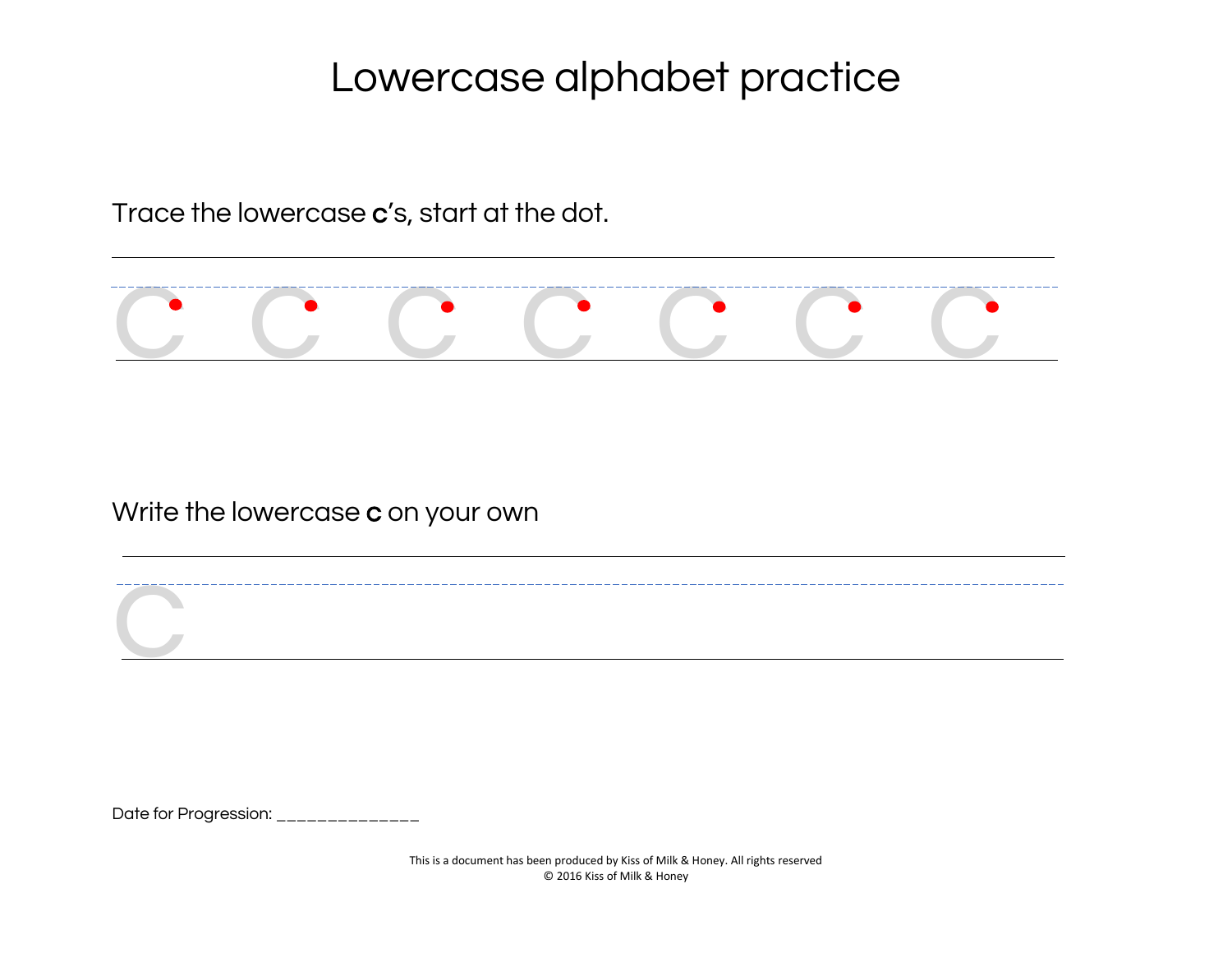Trace the lowercase c's, start at the dot.



Write the lowercase c on your own

Date for Progression: \_\_\_\_\_\_\_\_\_\_\_\_\_\_

**C**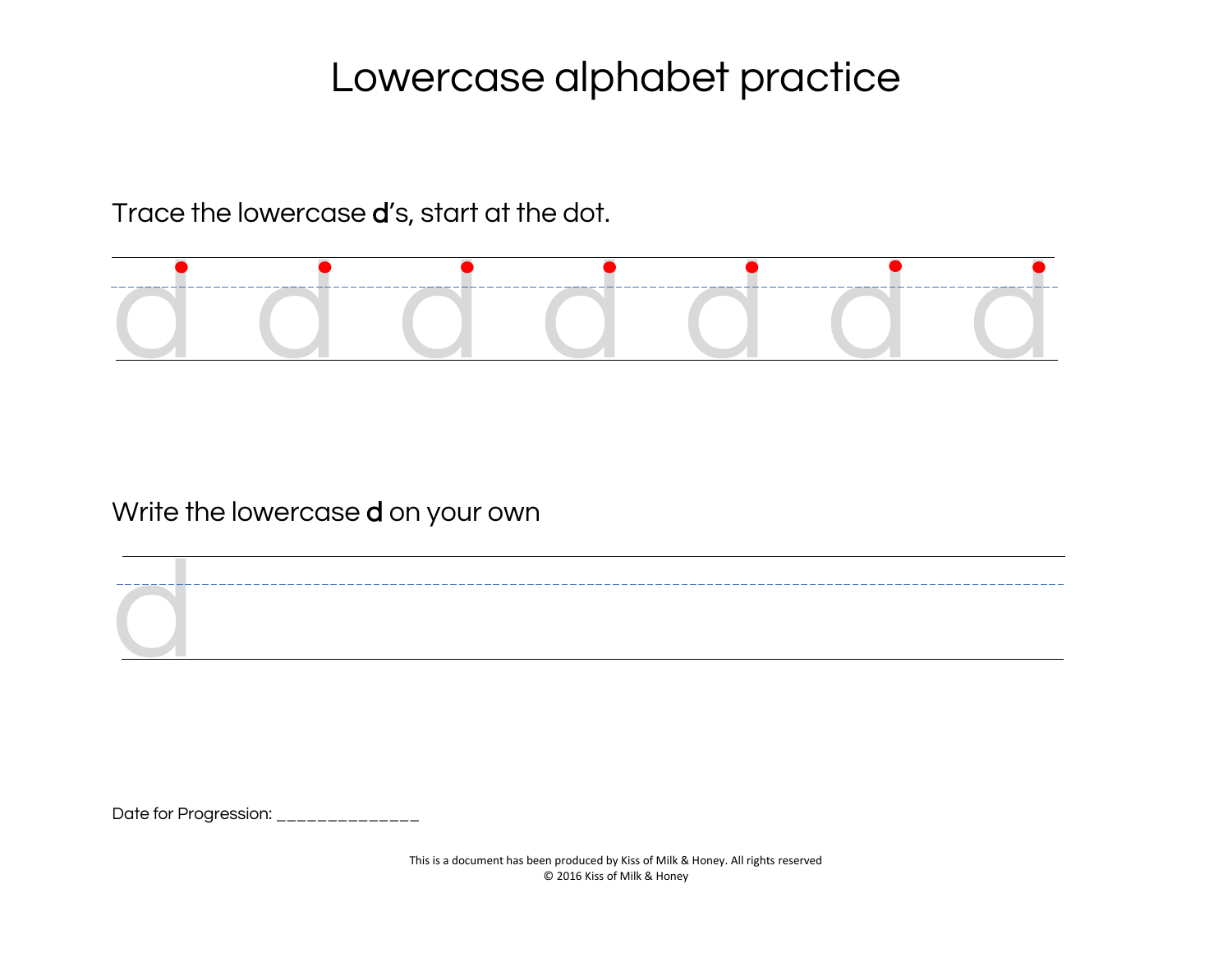Trace the lowercase d's, start at the dot.



Write the lowercase d on your own

Date for Progression: \_\_\_\_\_\_\_\_\_\_\_\_\_\_

d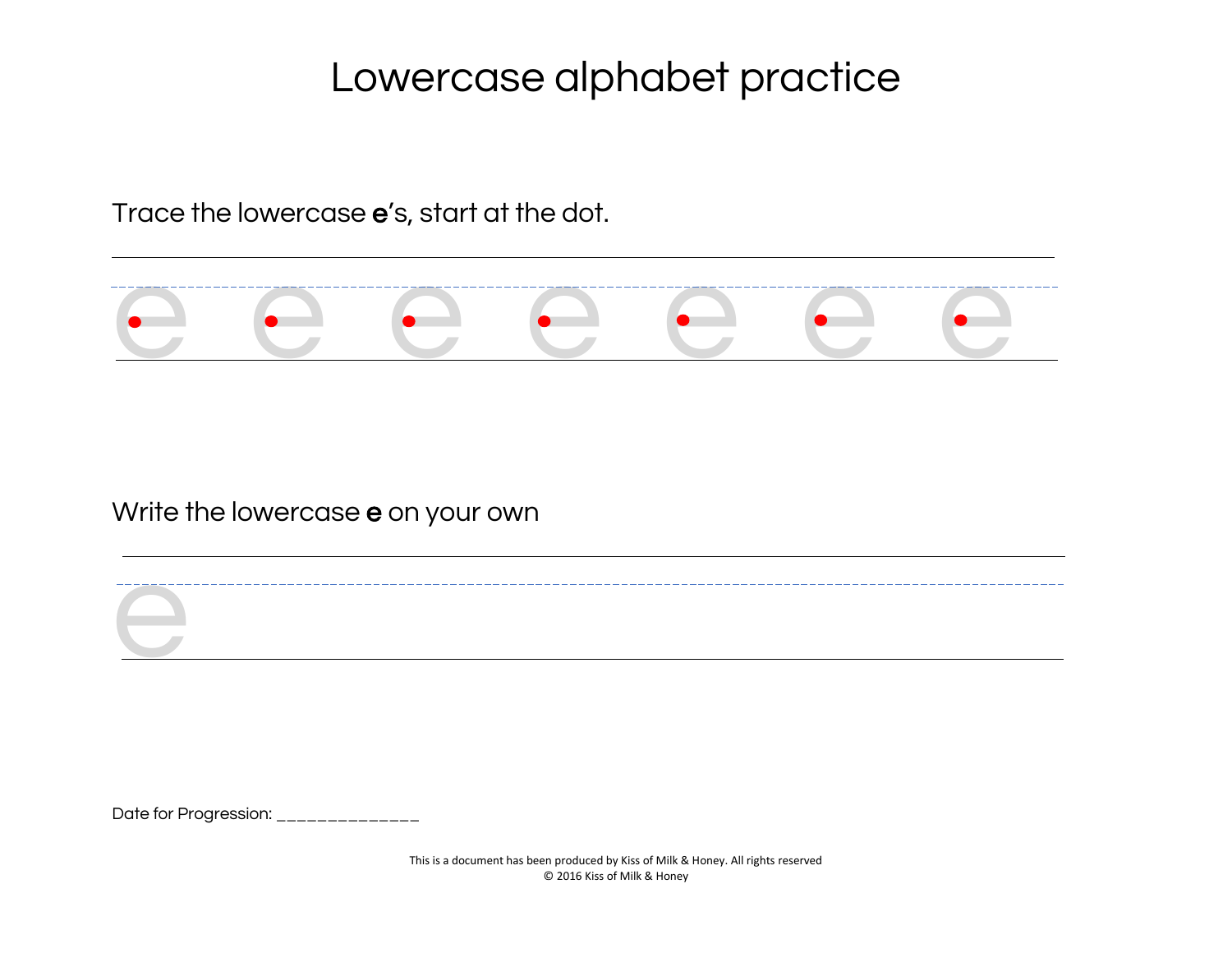Trace the lowercase e's, start at the dot.



Write the lowercase e on your own

Date for Progression: \_\_\_\_\_\_\_\_\_\_\_\_\_\_

e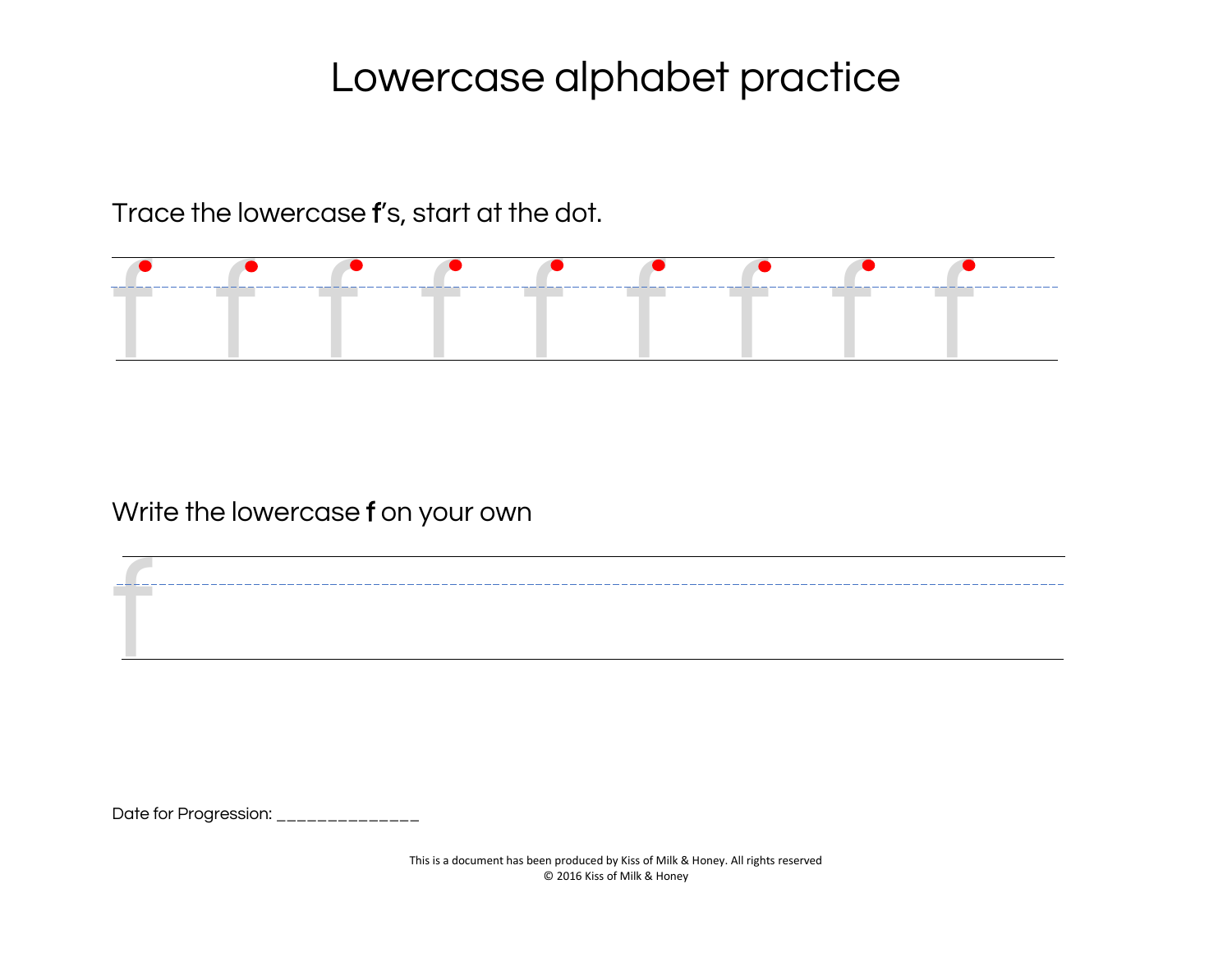Trace the lowercase f's, start at the dot.



#### Write the lowercase f on your own

Date for Progression: \_\_\_\_\_\_\_\_\_\_\_\_\_\_\_

f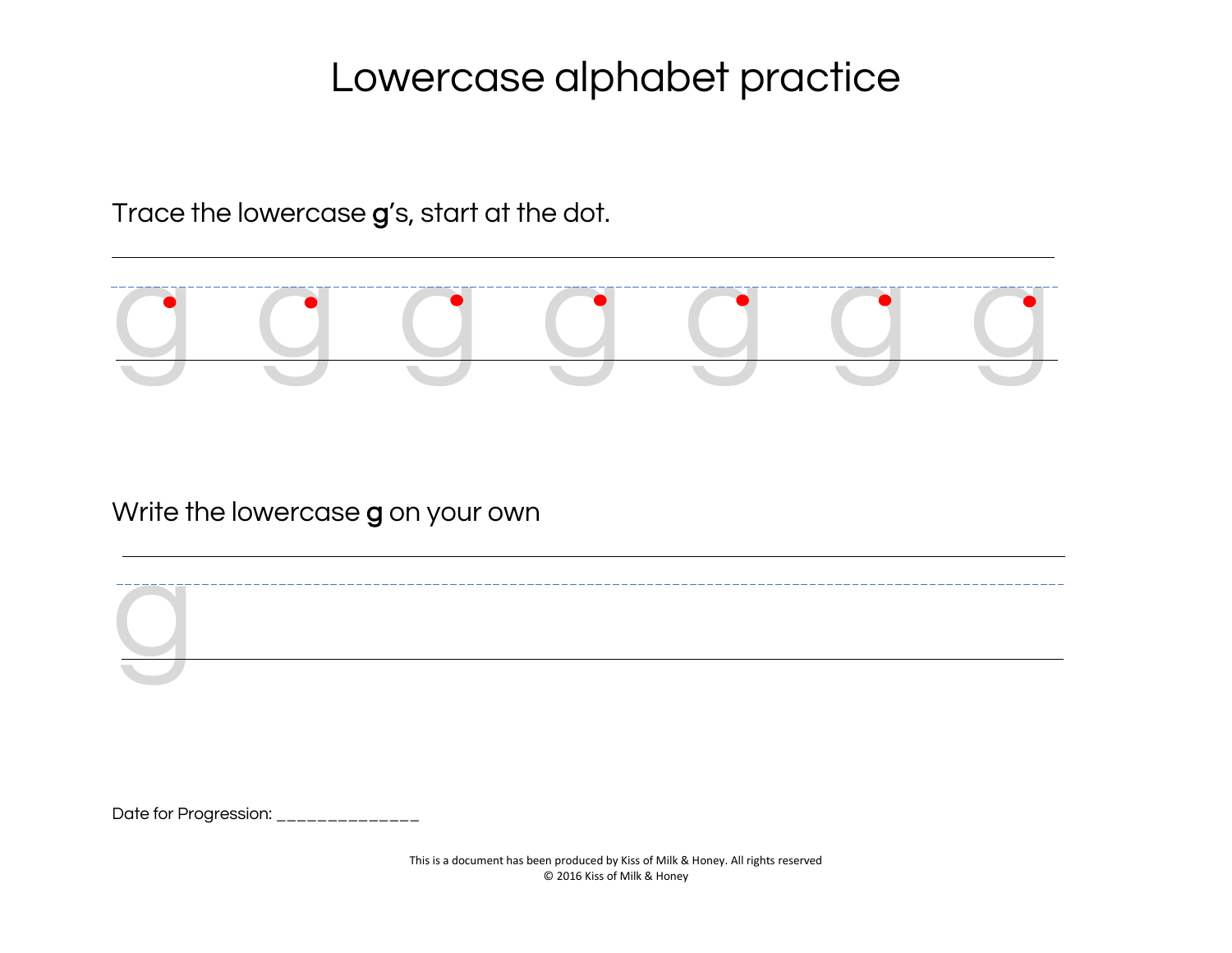Trace the lowercase g's, start at the dot.



Write the lowercase g on your own

Date for Progression: \_\_\_\_\_\_\_\_\_\_\_\_\_\_\_

g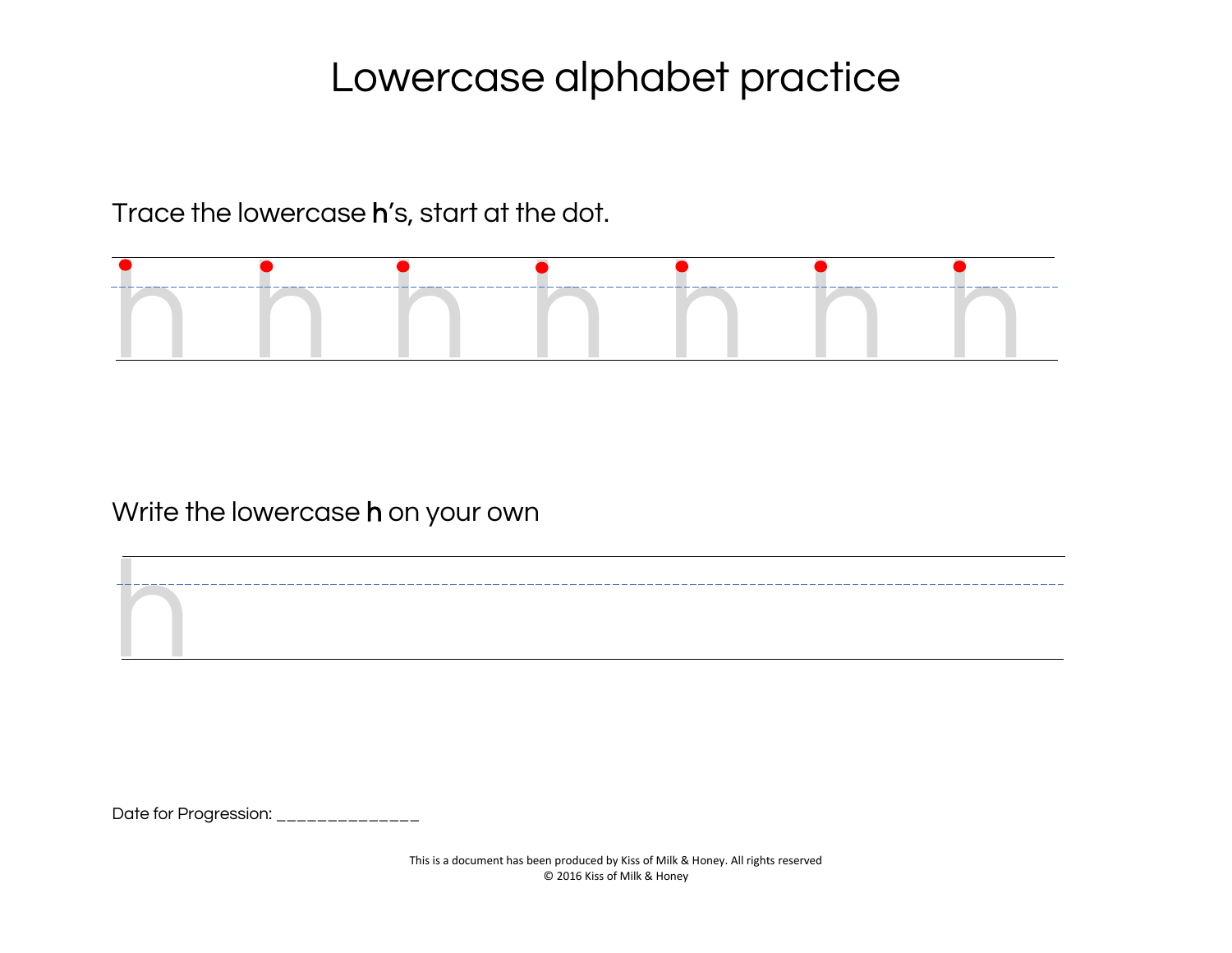Trace the lowercase h's, start at the dot.



Write the lowercase h on your own

Date for Progression: \_\_\_\_\_\_\_\_\_\_\_\_\_\_

h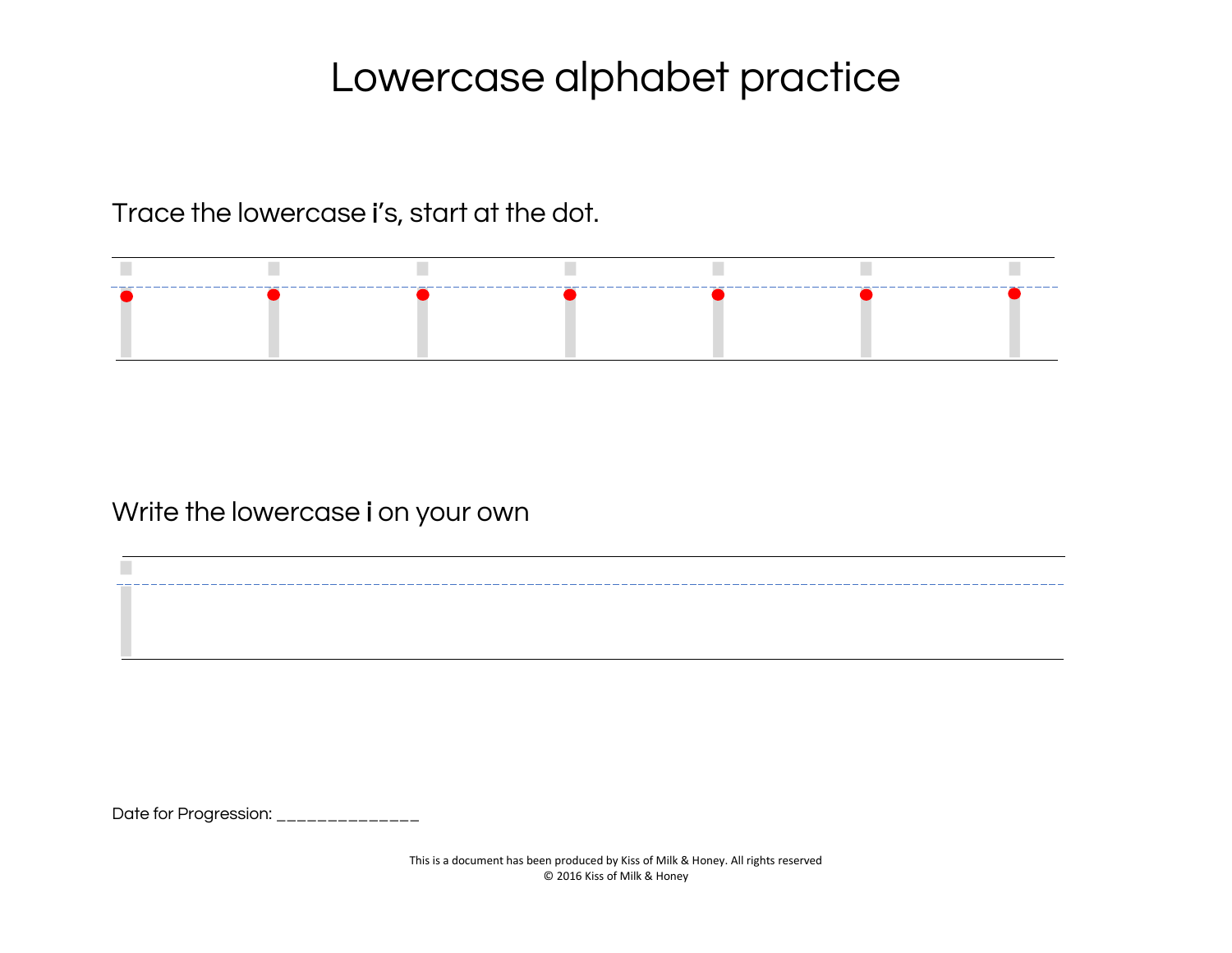Trace the lowercase i's, start at the dot.



Write the lowercase i on your own

Date for Progression: \_\_\_\_\_\_\_\_\_\_\_\_\_\_

i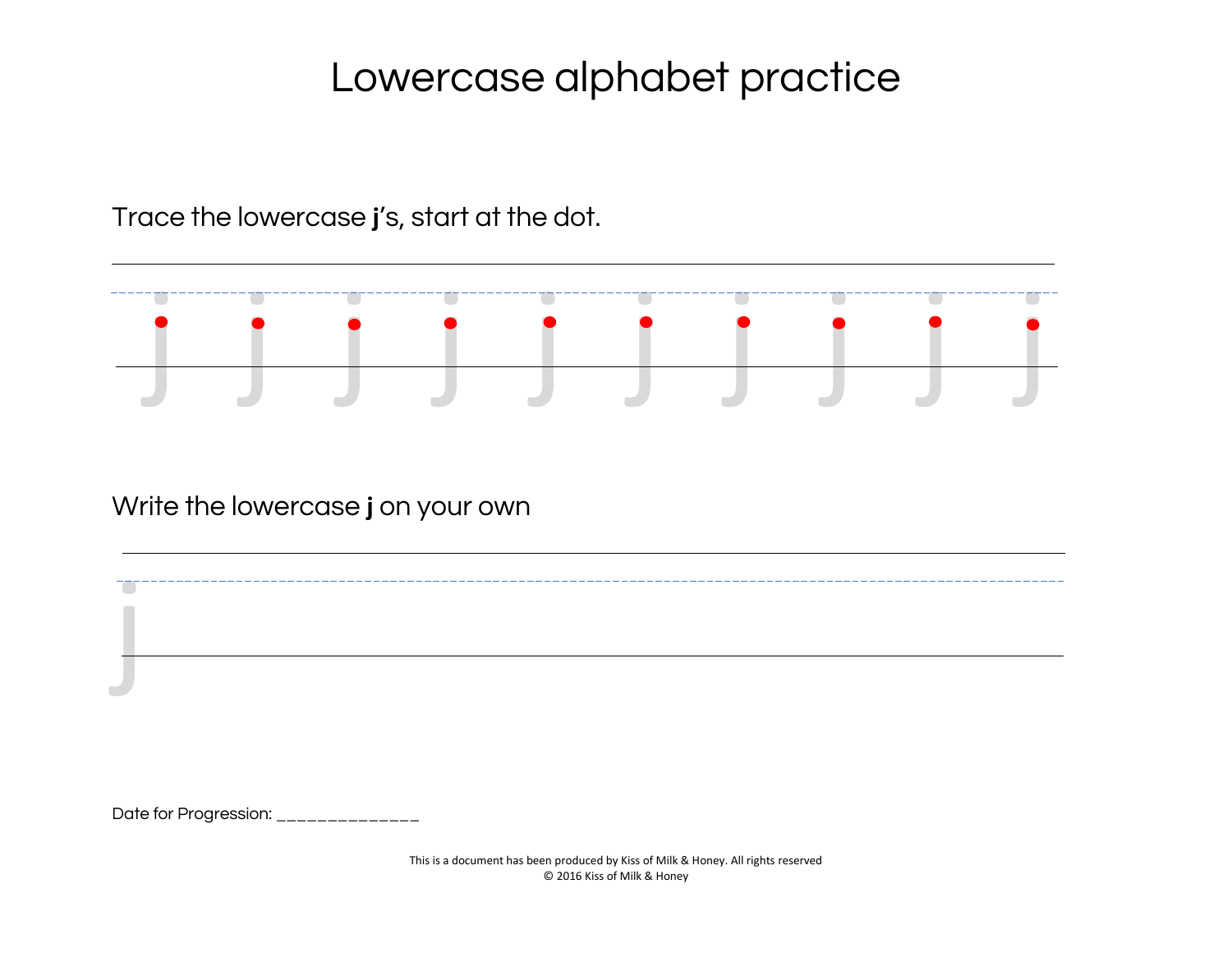Trace the lowercase **j**'s, start at the dot.



Write the lowercase **j** on your own

Date for Progression: \_\_\_\_\_\_\_\_\_\_\_\_\_

j

This is a document has been produced by Kiss of Milk & Honey. All rights reserved © 2016 Kiss of Milk & Honey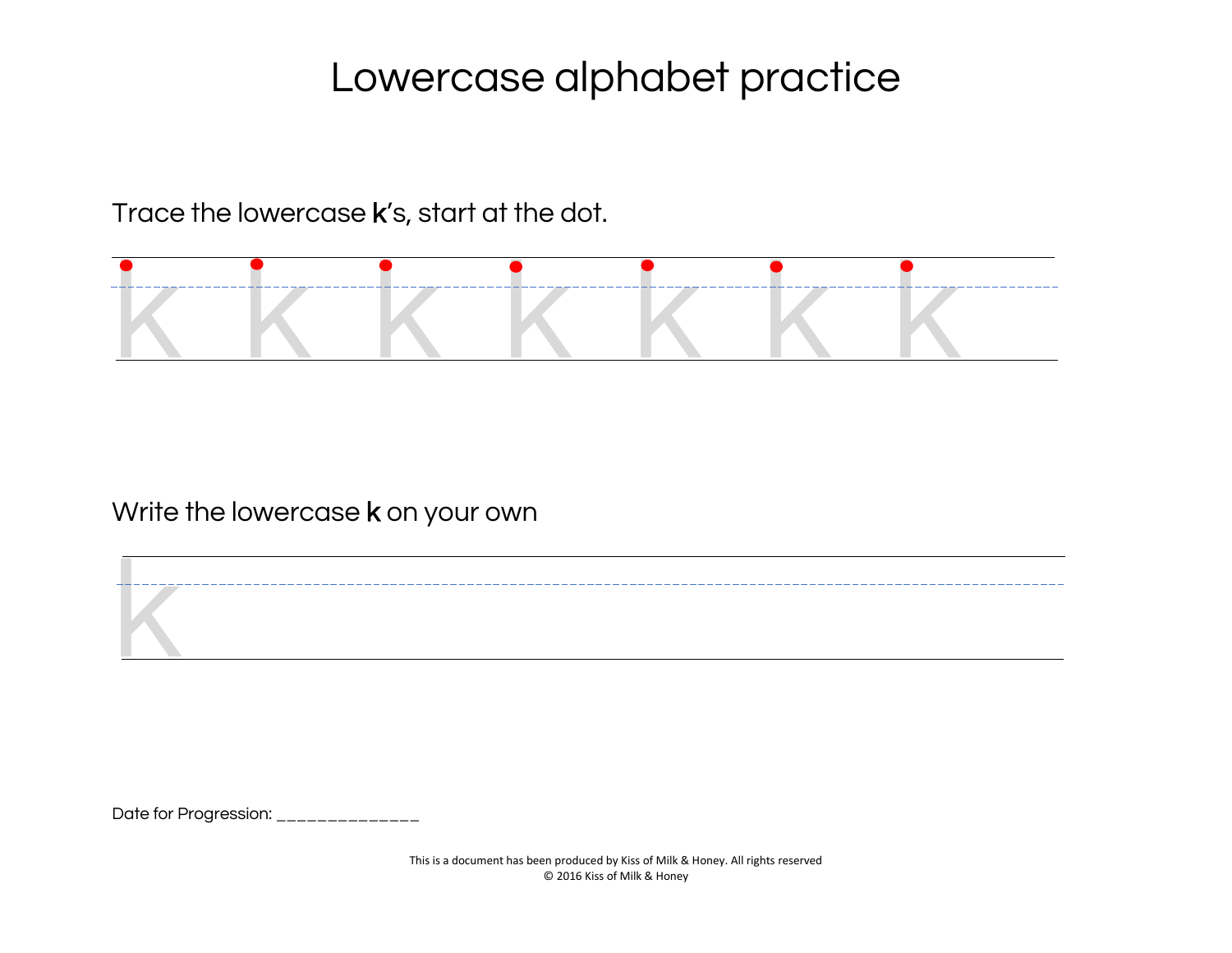Trace the lowercase k's, start at the dot.



Write the lowercase **k** on your own

Date for Progression: \_\_\_\_\_\_\_\_\_\_\_\_\_\_

k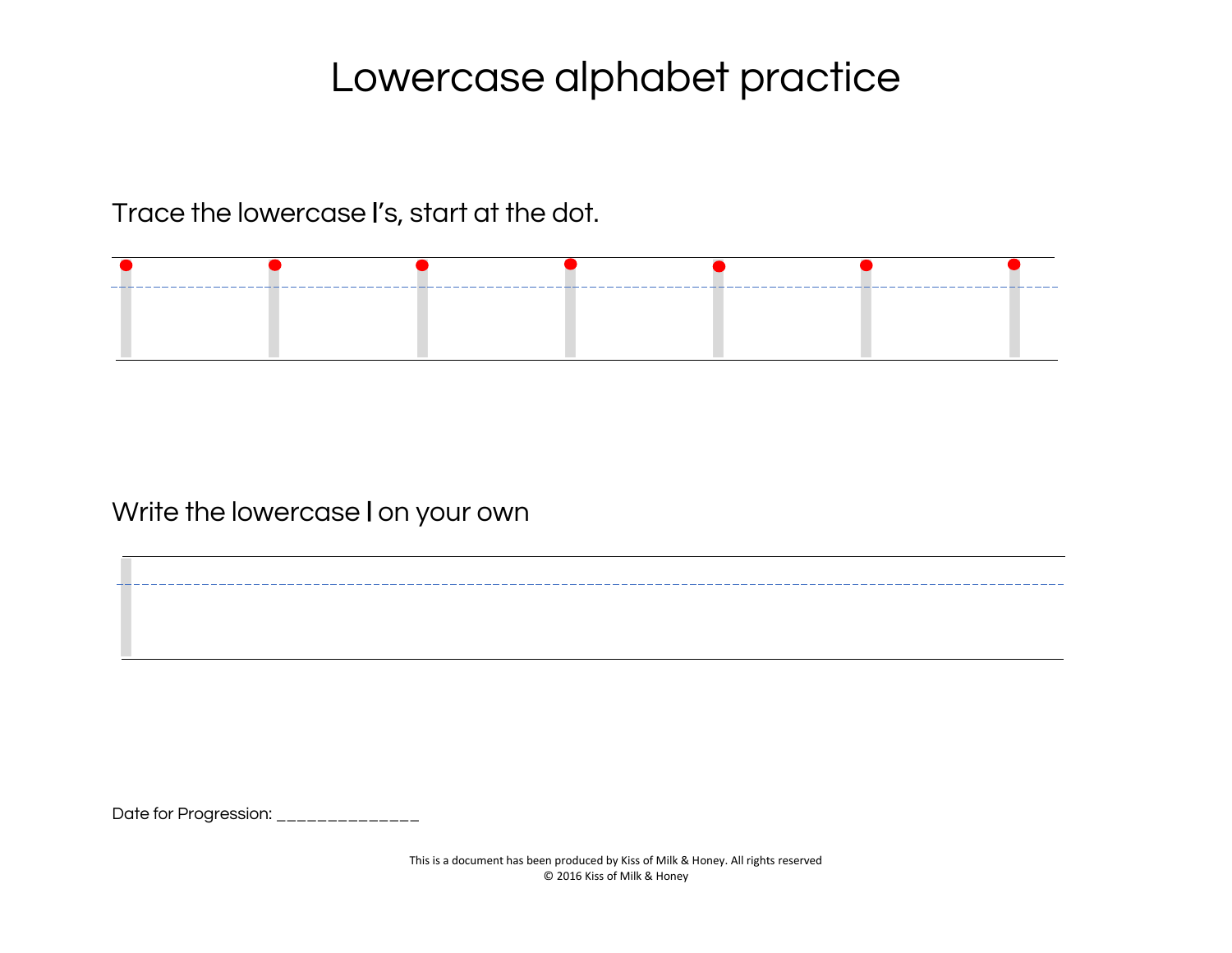Trace the lowercase l's, start at the dot.



Write the lowercase l on your own

Date for Progression: \_\_\_\_\_\_\_\_\_\_\_\_\_\_

l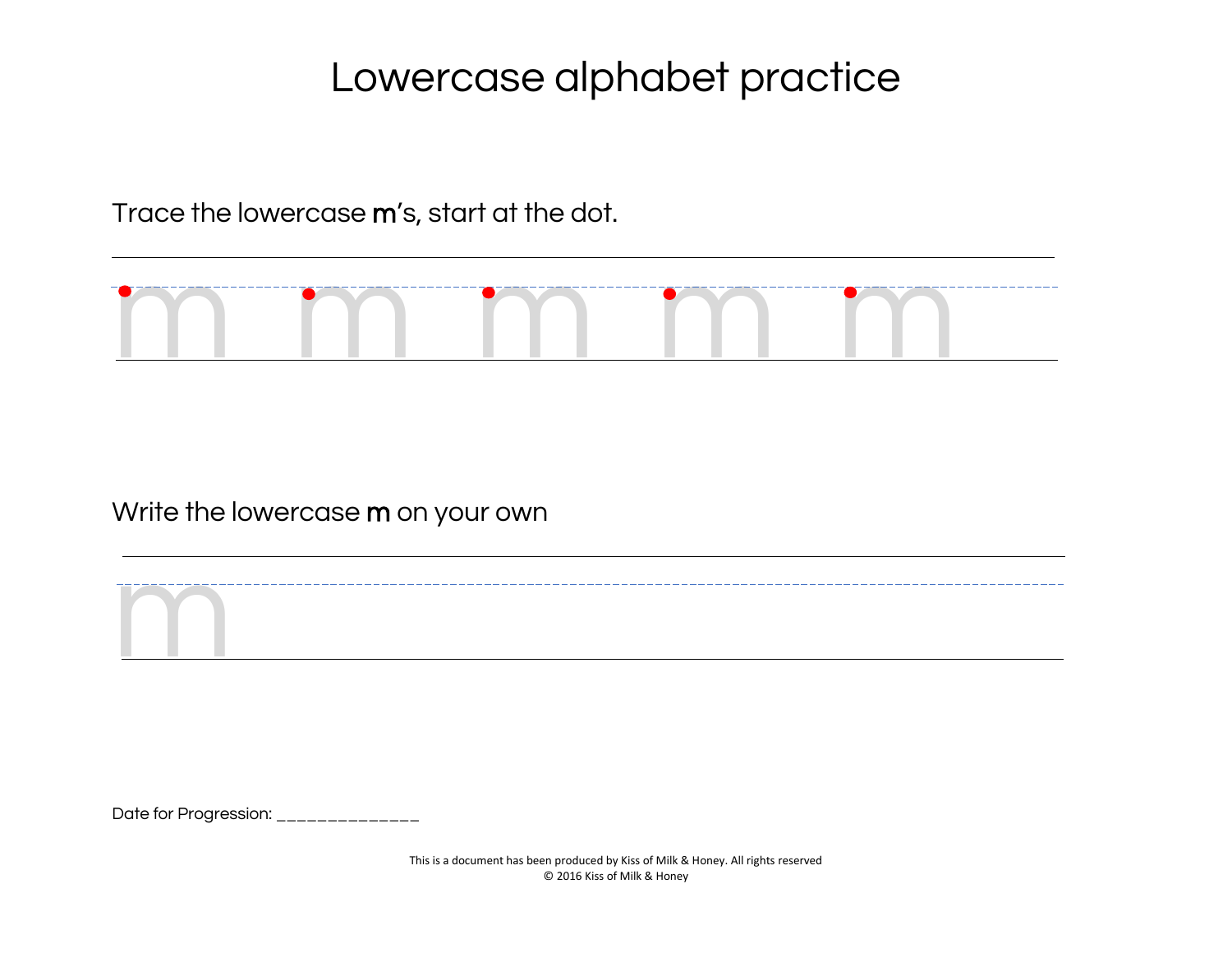Trace the lowercase m's, start at the dot.



Write the lowercase m on your own

Date for Progression: \_\_\_\_\_\_\_\_\_\_\_\_\_\_

m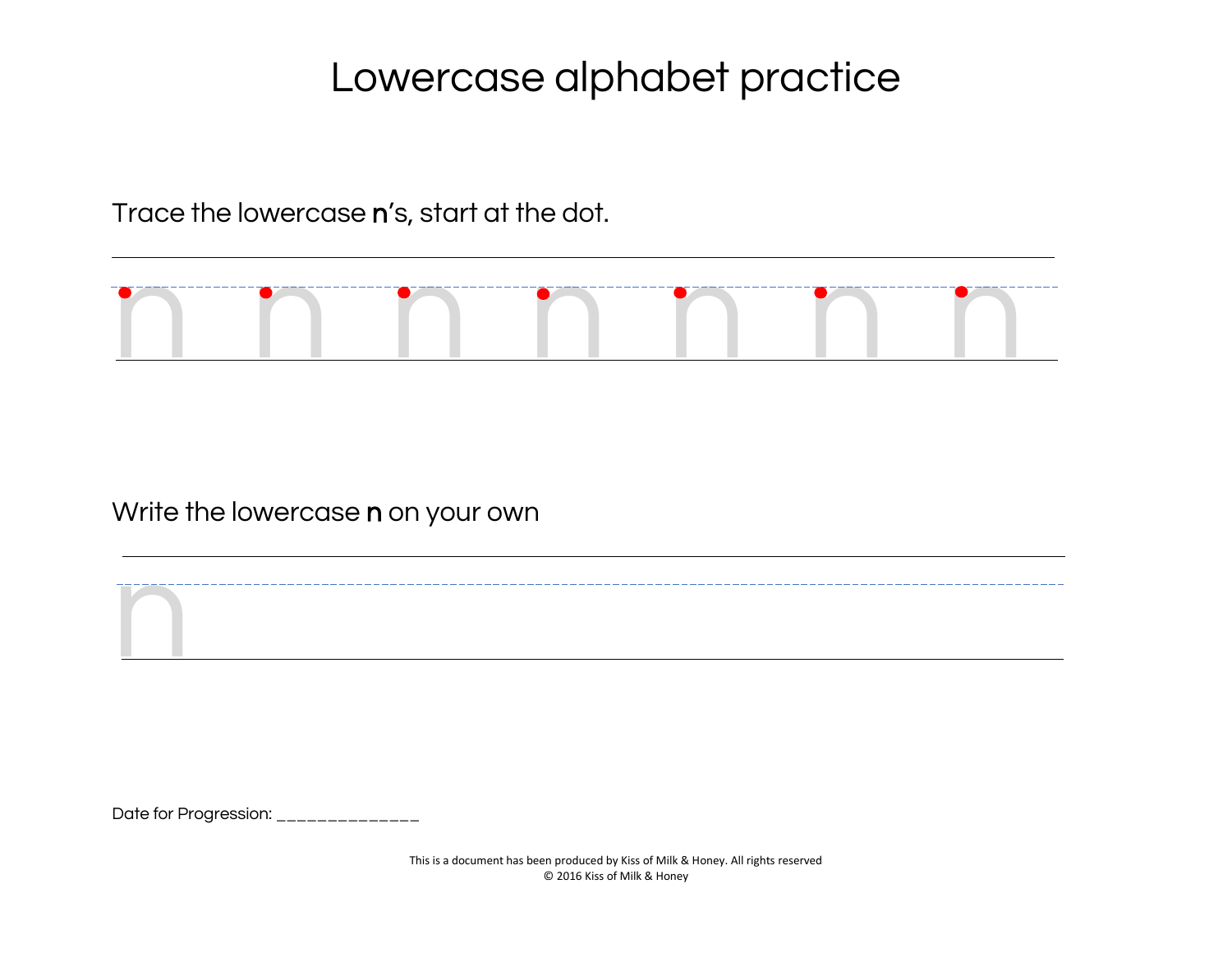Trace the lowercase n's, start at the dot.



Write the lowercase n on your own

Date for Progression: \_\_\_\_\_\_\_\_\_\_\_\_\_\_

n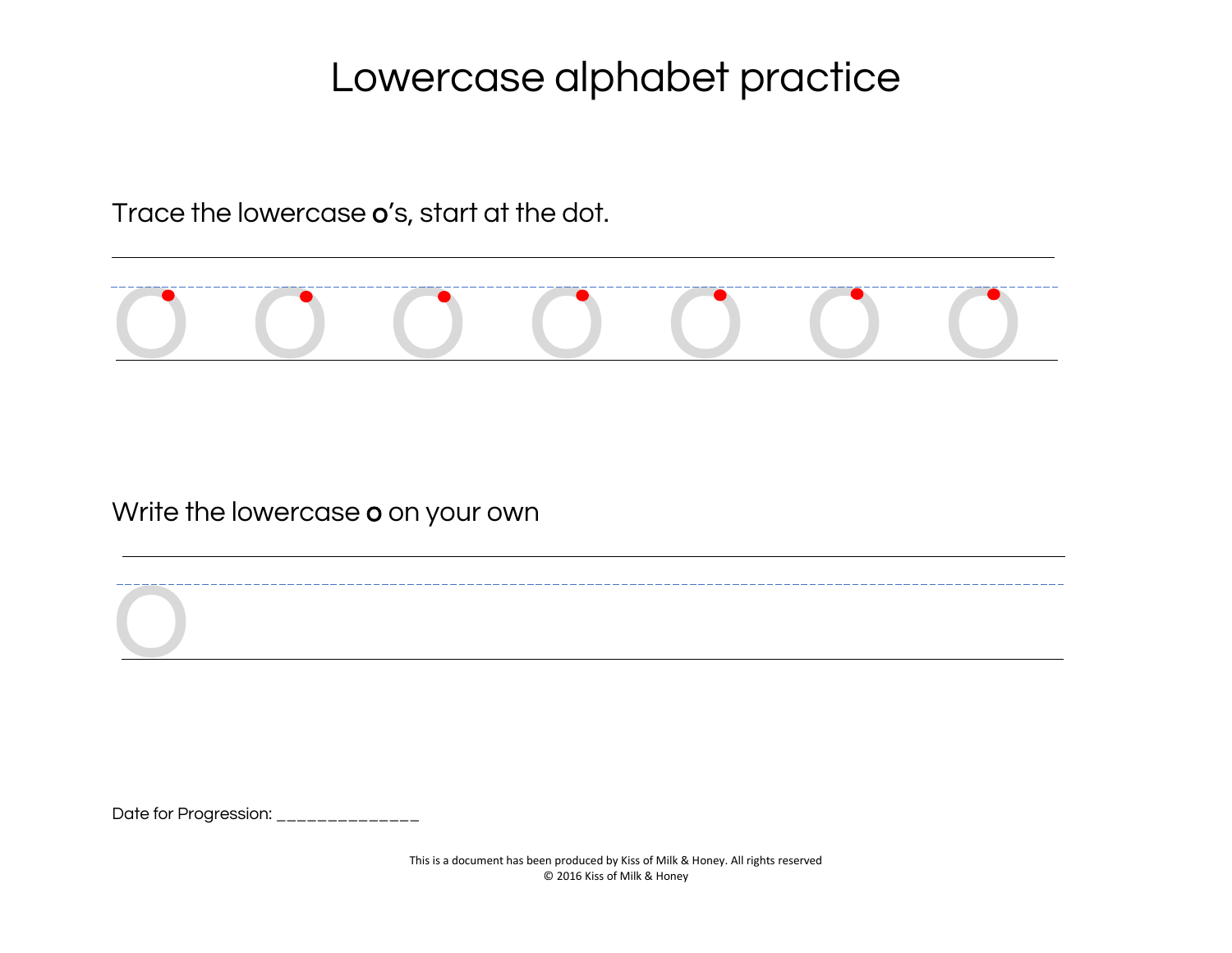Trace the lowercase o's, start at the dot.



Write the lowercase o on your own

Date for Progression: \_\_\_\_\_\_\_\_\_\_\_\_\_\_

o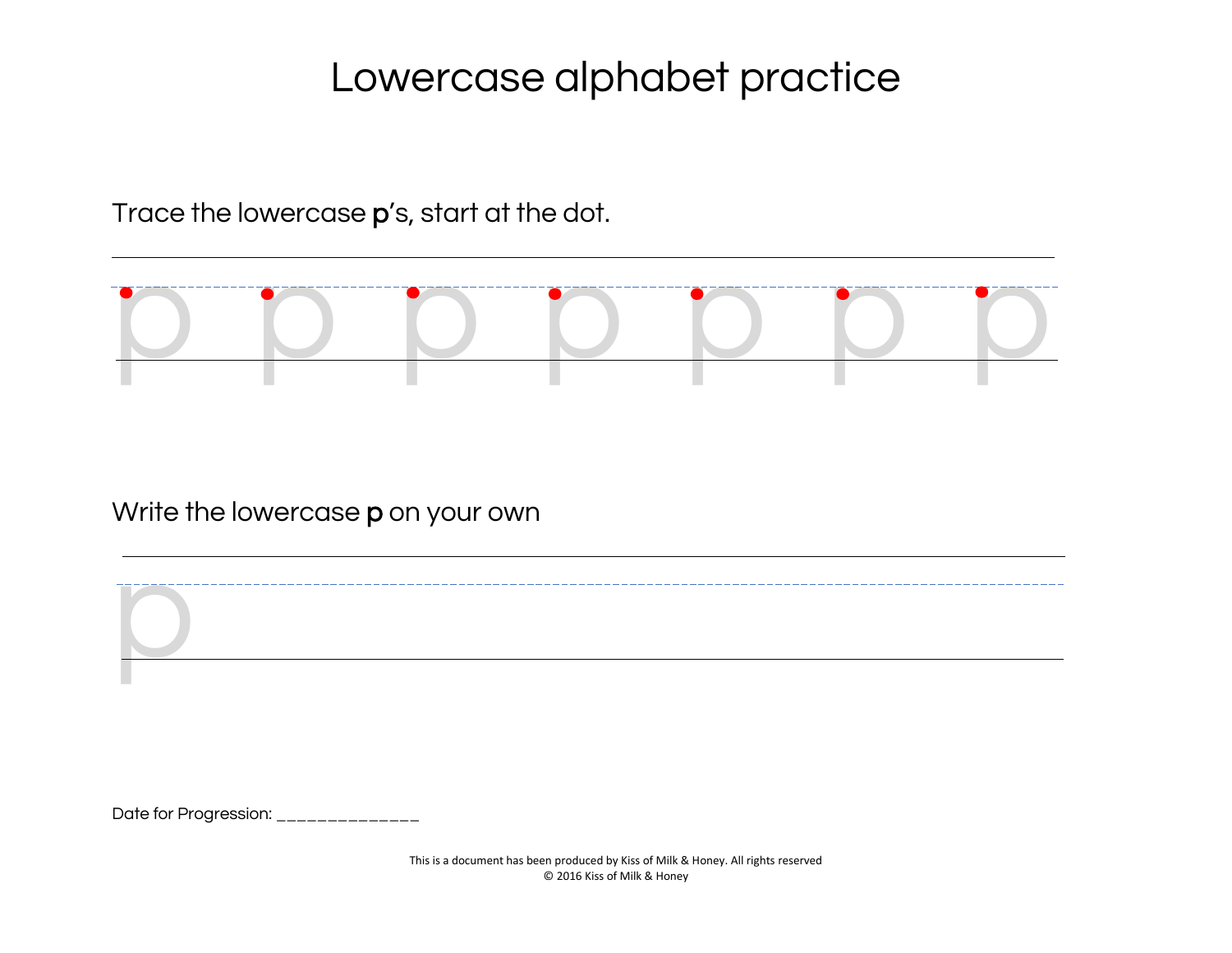Trace the lowercase p's, start at the dot.



Write the lowercase p on your own

Date for Progression: \_\_\_\_\_\_\_\_\_\_\_\_\_\_\_

p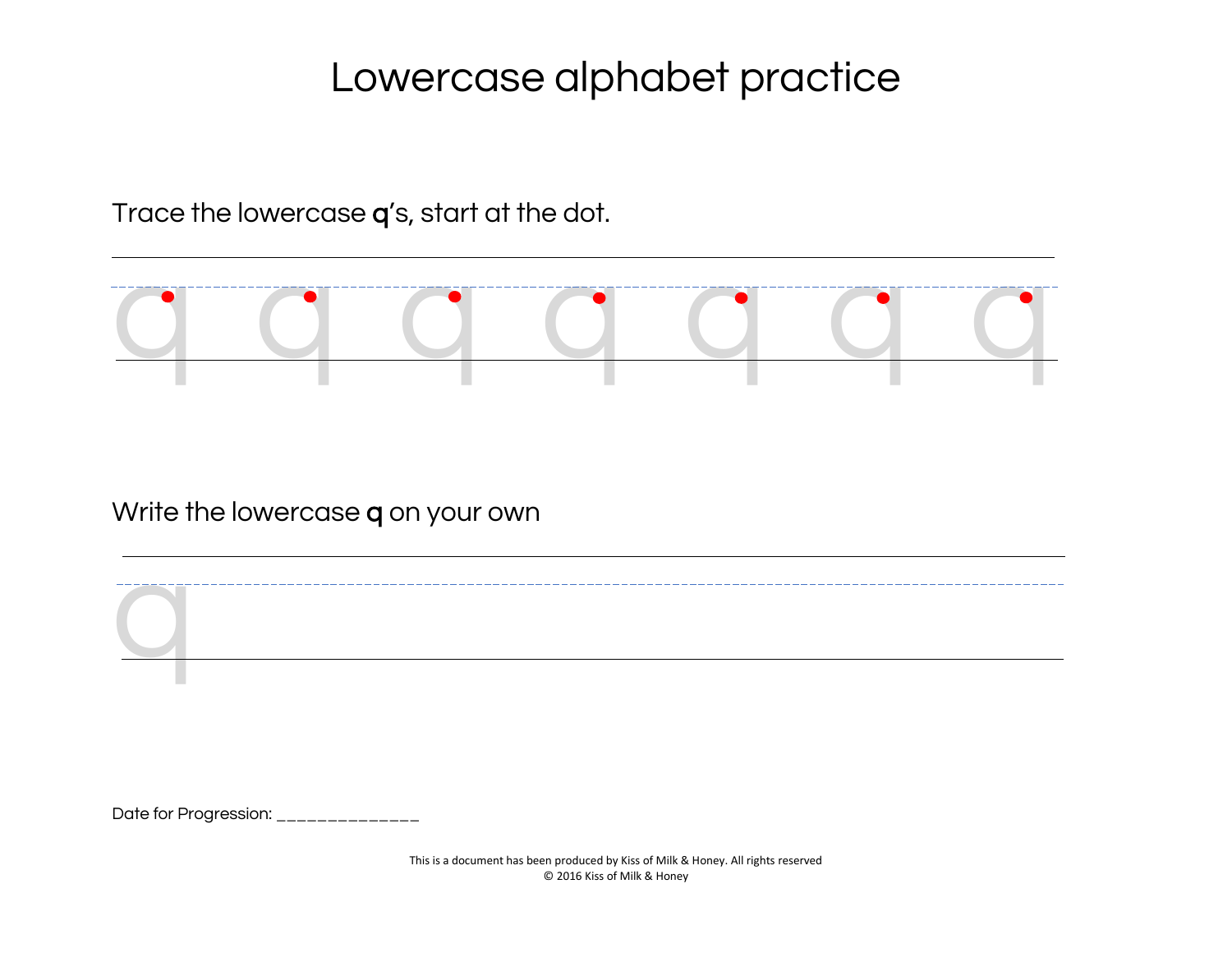Trace the lowercase q's, start at the dot.



Write the lowercase q on your own

q

Date for Progression: \_\_\_\_\_\_\_\_\_\_\_\_\_\_\_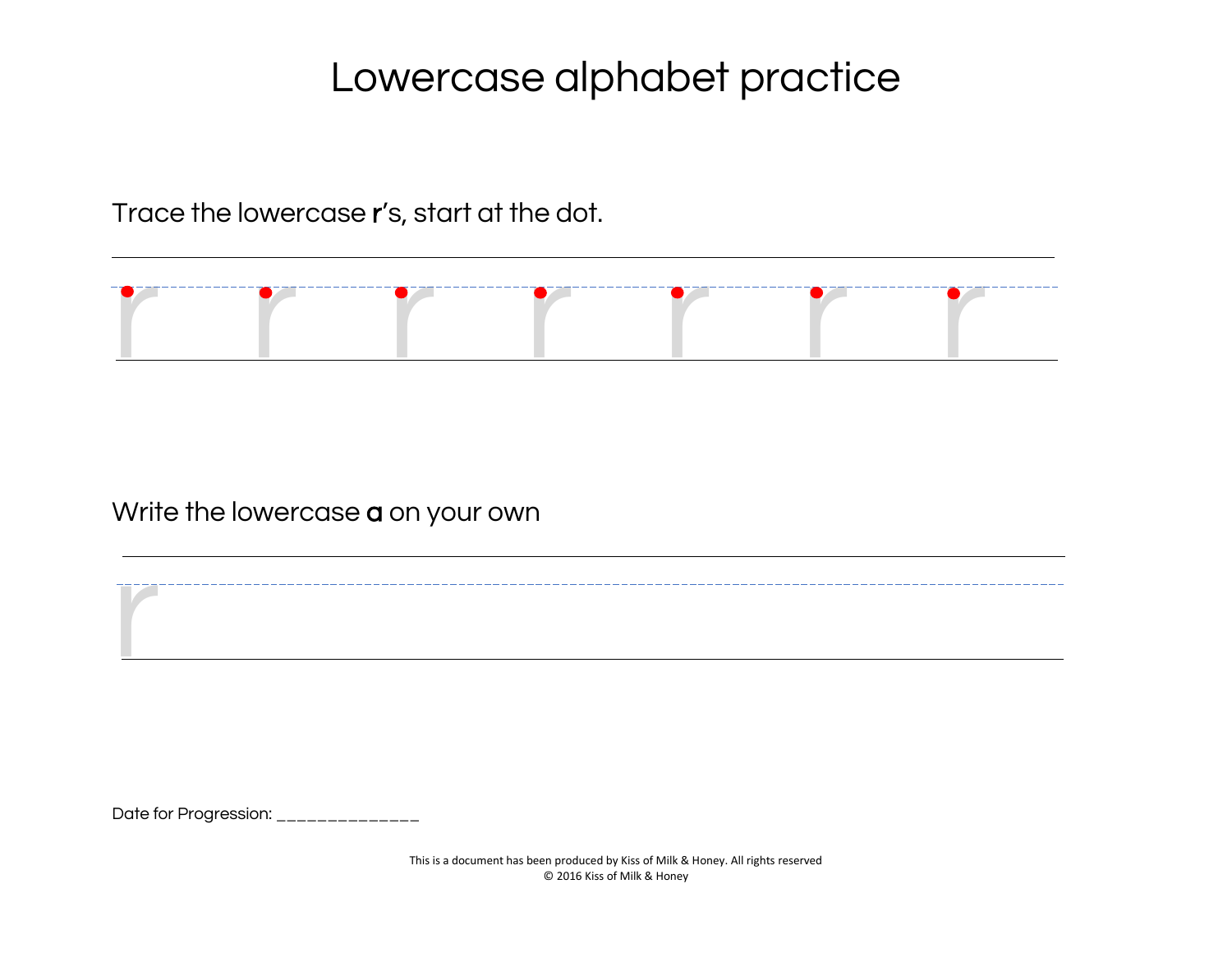Trace the lowercase r's, start at the dot.



Write the lowercase **a** on your own

Date for Progression: \_\_\_\_\_\_\_\_\_\_\_\_\_\_

r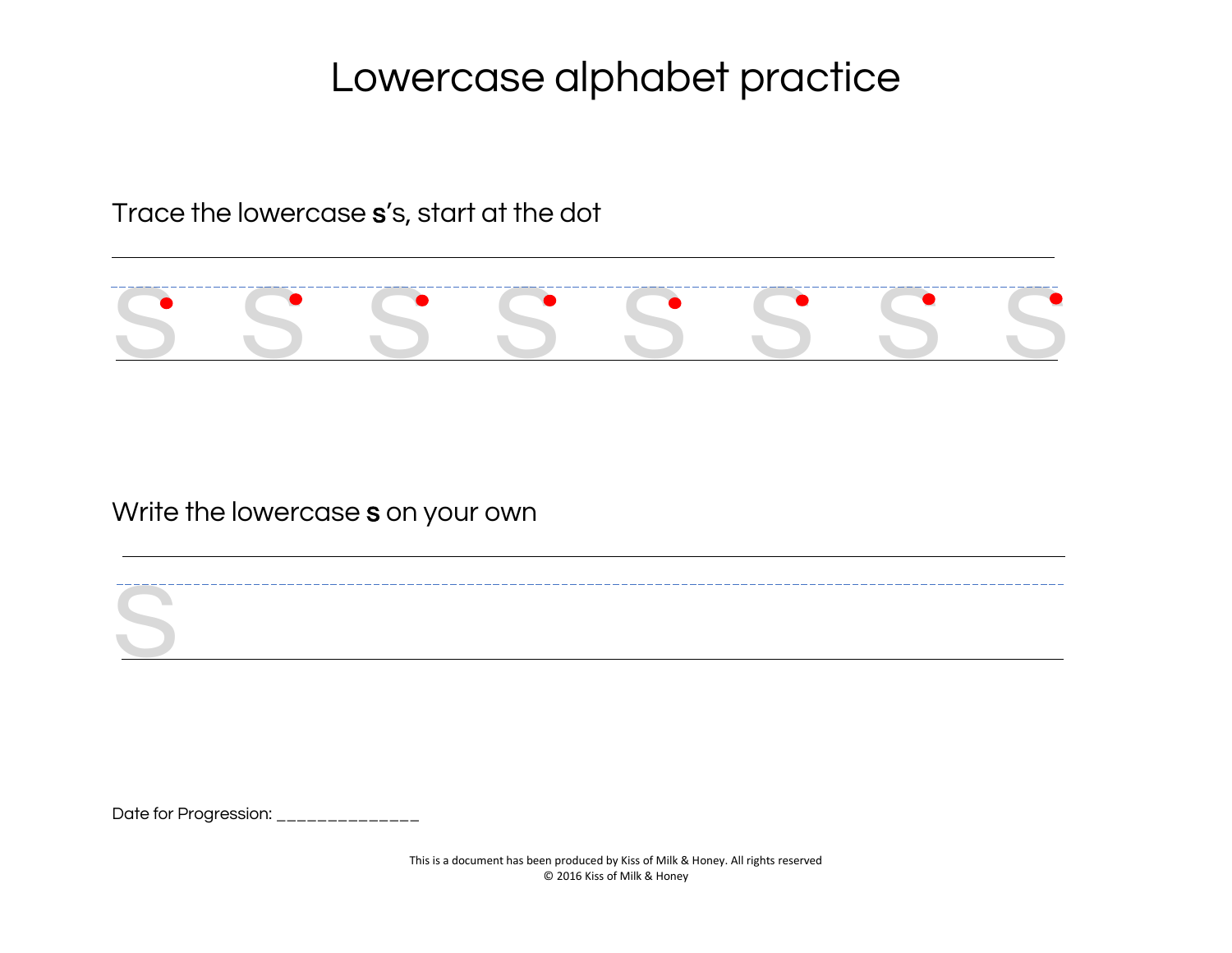Trace the lowercase s's, start at the dot



Write the lowercase s on your own

Date for Progression: \_\_\_\_\_\_\_\_\_\_\_\_\_\_

s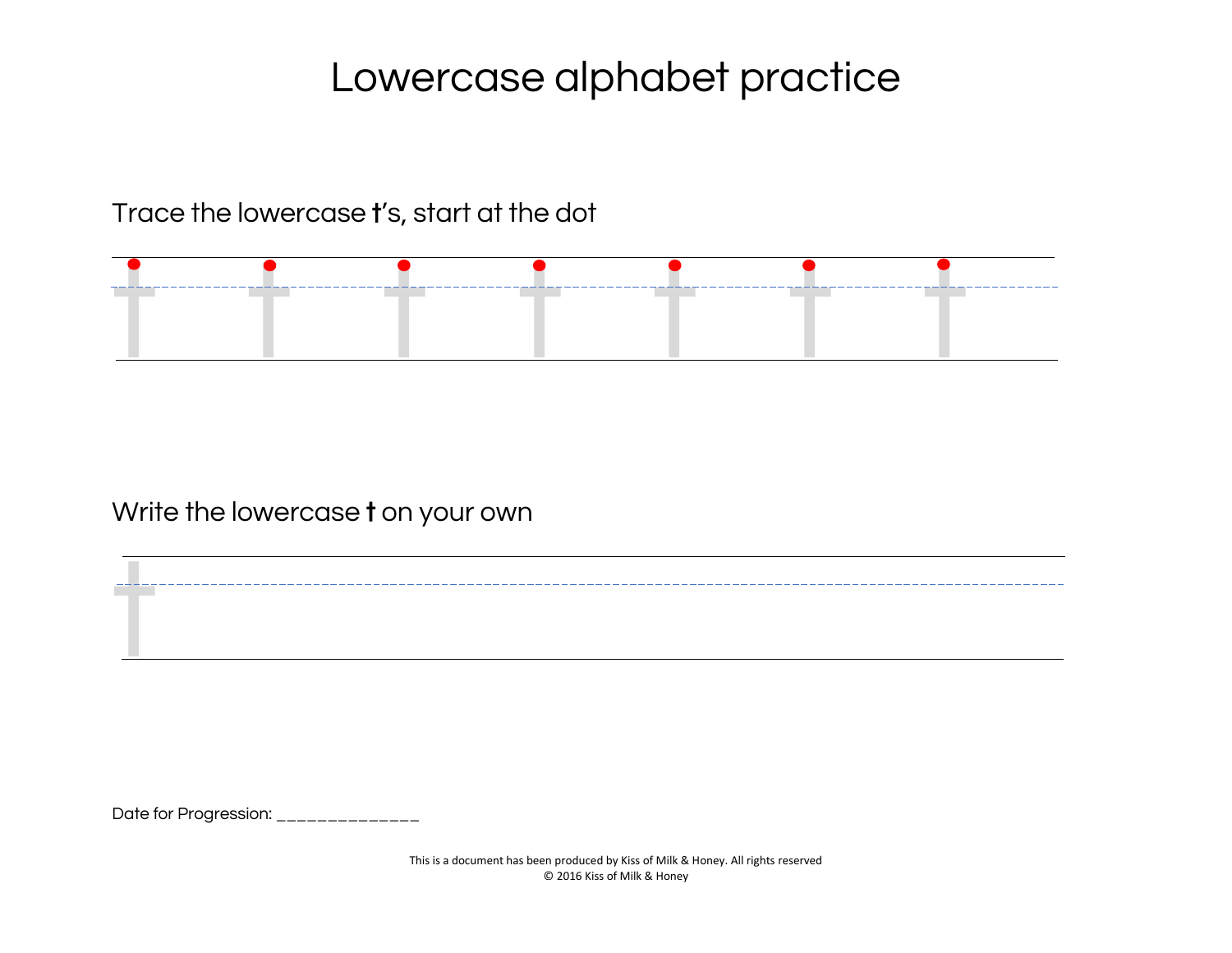Trace the lowercase t's, start at the dot



Write the lowercase t on your own

Date for Progression: \_\_\_\_\_\_\_\_\_\_\_\_\_\_\_

t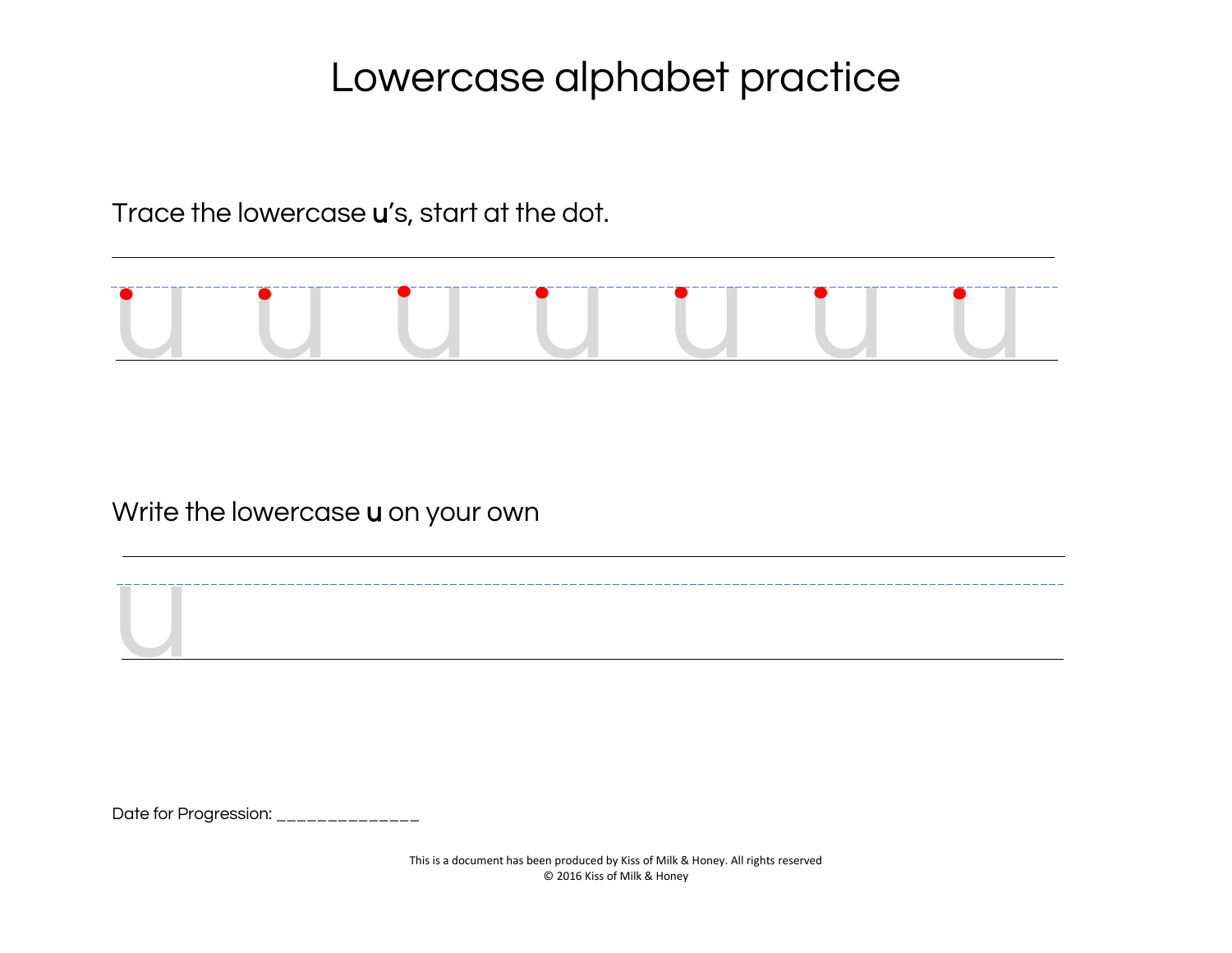Trace the lowercase u's, start at the dot.



Write the lowercase u on your own

Date for Progression: \_\_\_\_\_\_\_\_\_\_\_\_\_\_

**U**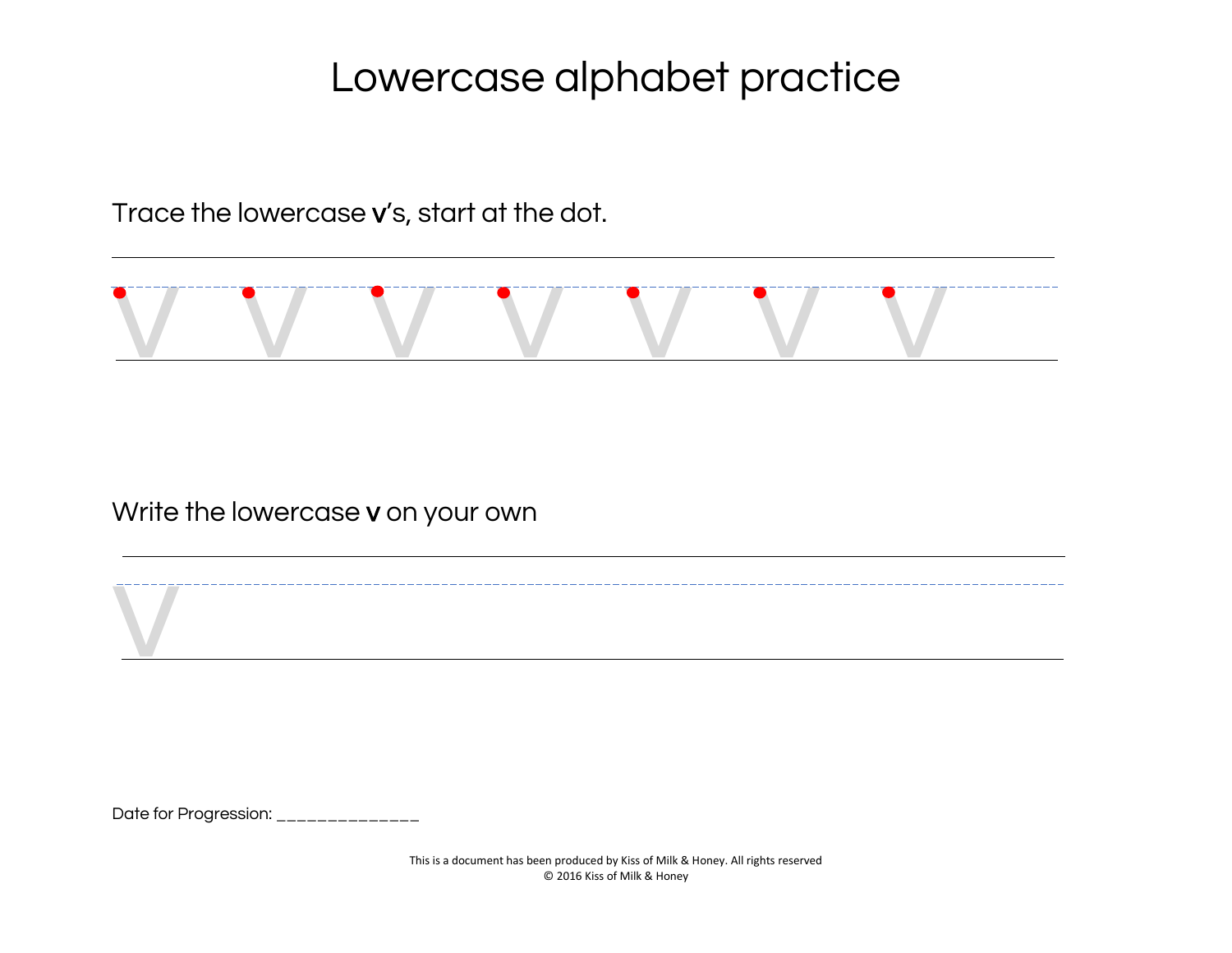Trace the lowercase v's, start at the dot.



Write the lowercase v on your own

Date for Progression: \_\_\_\_\_\_\_\_\_\_\_\_\_\_

v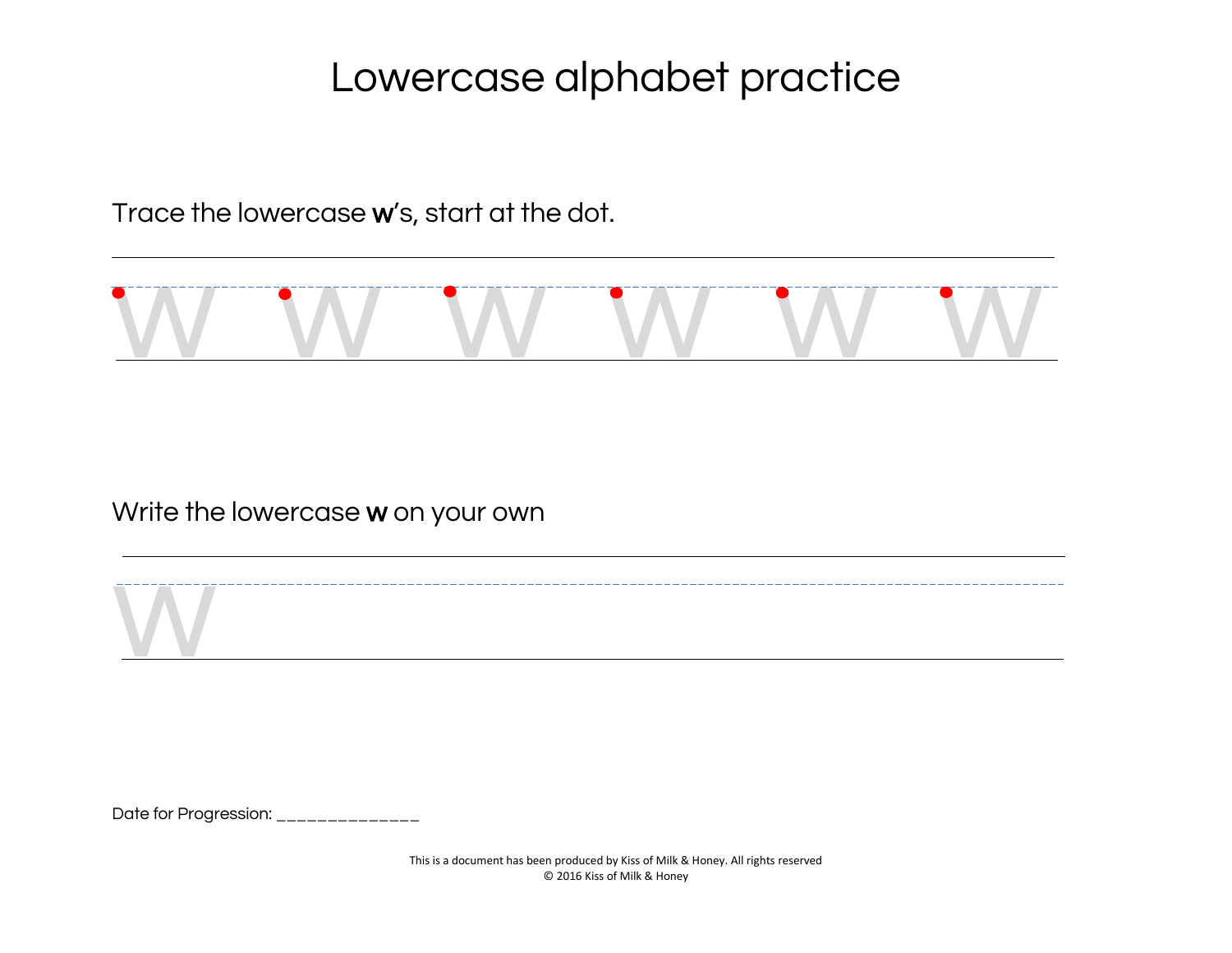Trace the lowercase w's, start at the dot.



Write the lowercase w on your own

Date for Progression: \_\_\_\_\_\_\_\_\_\_\_\_\_\_

w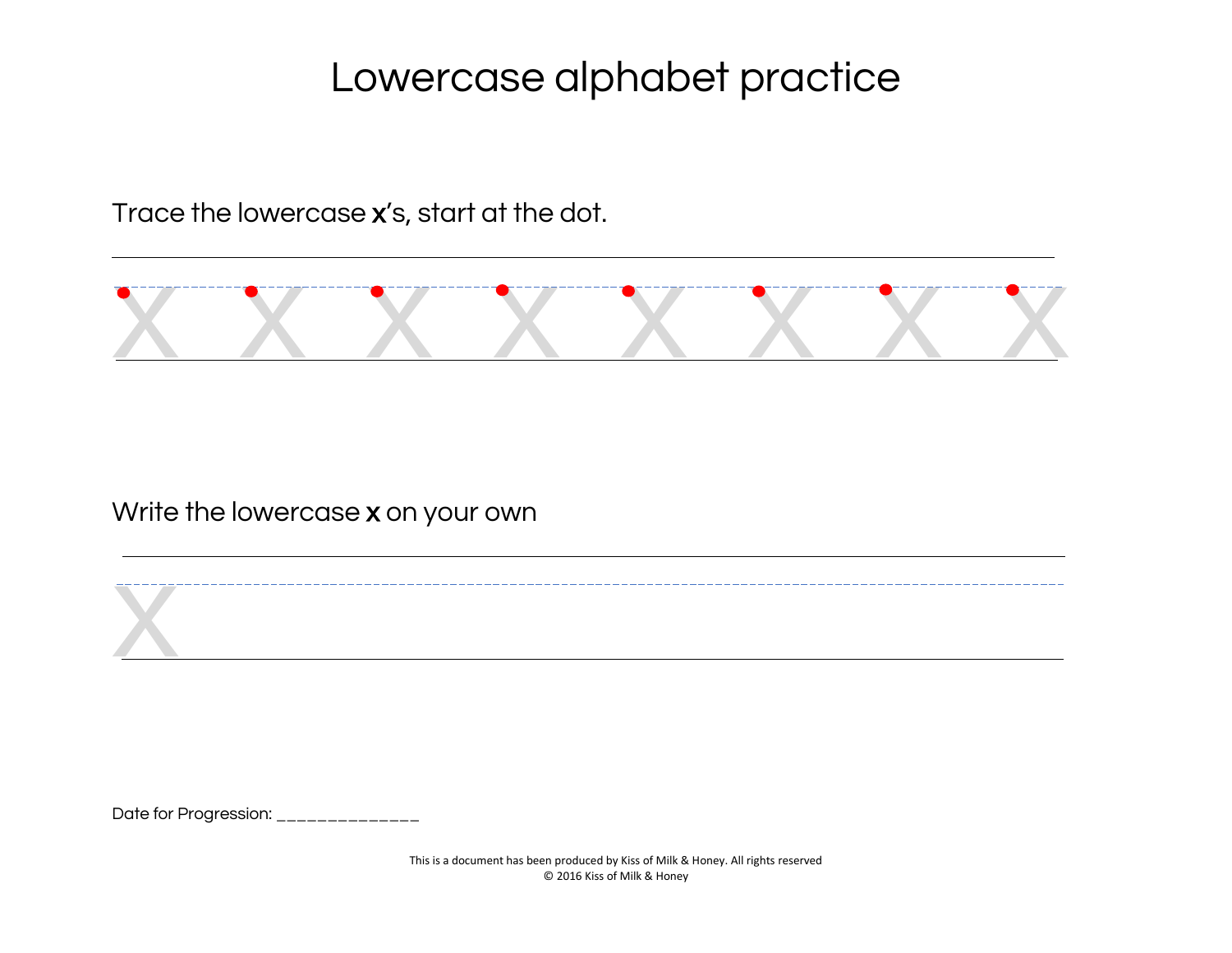Trace the lowercase x's, start at the dot.



Write the lowercase x on your own

Date for Progression: \_\_\_\_\_\_\_\_\_\_\_\_\_\_

x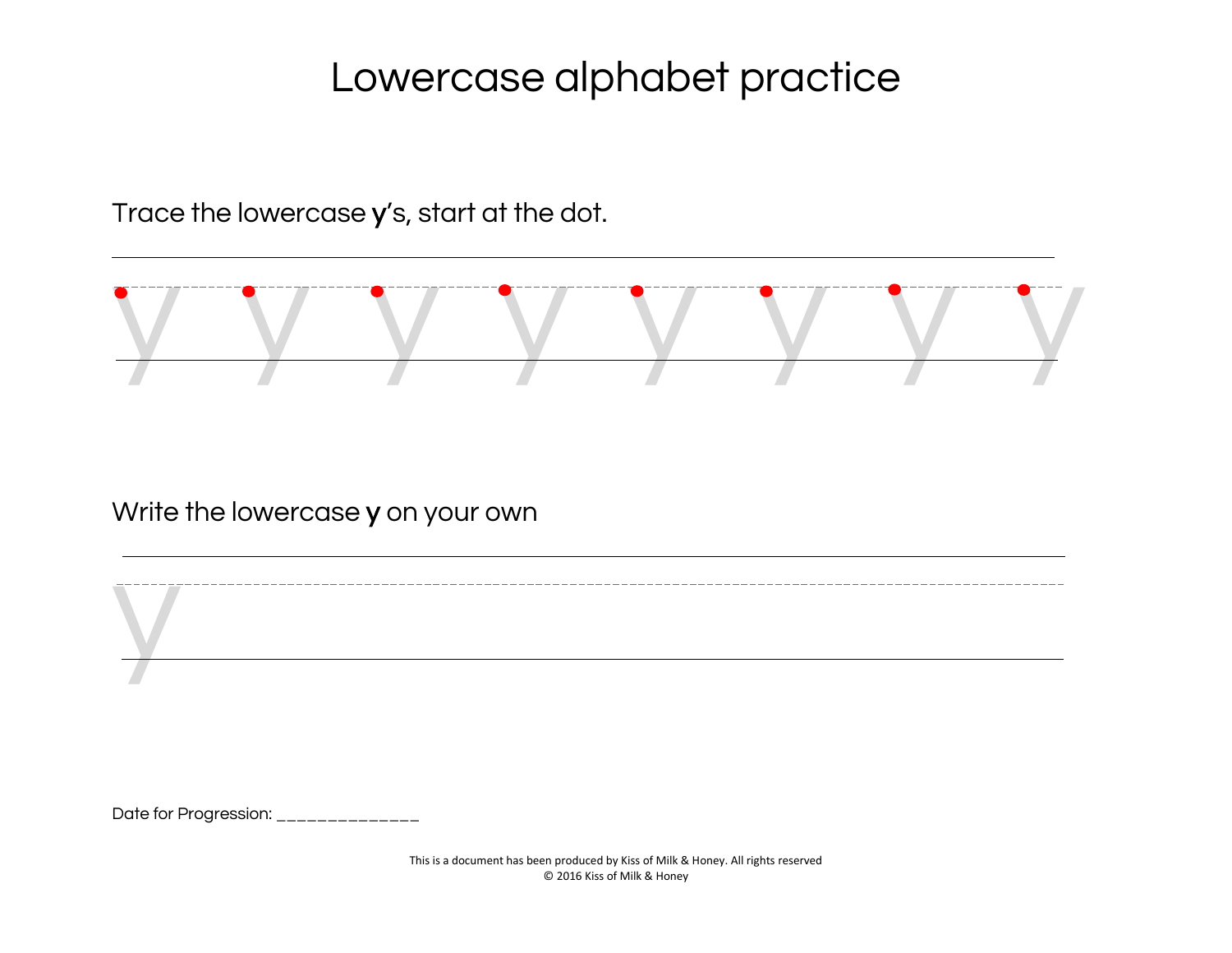Trace the lowercase y's, start at the dot.



Write the lowercase y on your own

Date for Progression: \_\_\_\_\_\_\_\_\_\_\_\_\_

y